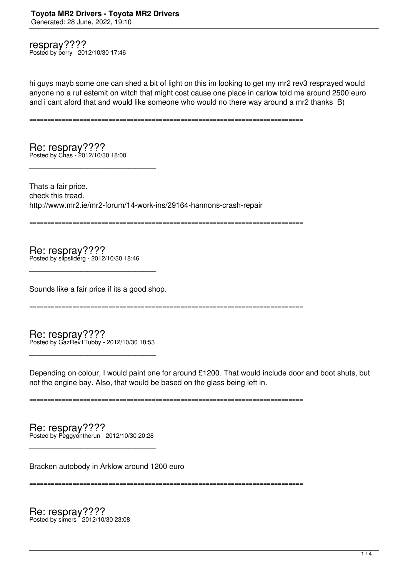respray???? Posted by perry - 2012/10/30 17:46

\_\_\_\_\_\_\_\_\_\_\_\_\_\_\_\_\_\_\_\_\_\_\_\_\_\_\_\_\_\_\_\_\_\_\_\_\_

hi guys mayb some one can shed a bit of light on this im looking to get my mr2 rev3 resprayed would anyone no a ruf estemit on witch that might cost cause one place in carlow told me around 2500 euro and i cant aford that and would like someone who would no there way around a mr2 thanks B)

============================================================================

Re: respray???? Posted by Chas - 2012/10/30 18:00

\_\_\_\_\_\_\_\_\_\_\_\_\_\_\_\_\_\_\_\_\_\_\_\_\_\_\_\_\_\_\_\_\_\_\_\_\_

Thats a fair price. check this tread. http://www.mr2.ie/mr2-forum/14-work-ins/29164-hannons-crash-repair

============================================================================

Re: respray???? Posted by slipsliderg - 2012/10/30 18:46

Sounds like a fair price if its a good shop.

\_\_\_\_\_\_\_\_\_\_\_\_\_\_\_\_\_\_\_\_\_\_\_\_\_\_\_\_\_\_\_\_\_\_\_\_\_

============================================================================

Re: respray???? Posted by GazRev1Tubby - 2012/10/30 18:53

\_\_\_\_\_\_\_\_\_\_\_\_\_\_\_\_\_\_\_\_\_\_\_\_\_\_\_\_\_\_\_\_\_\_\_\_\_

Depending on colour, I would paint one for around £1200. That would include door and boot shuts, but not the engine bay. Also, that would be based on the glass being left in.

============================================================================

Re: respray???? Posted by Peggyontherun - 2012/10/30 20:28

\_\_\_\_\_\_\_\_\_\_\_\_\_\_\_\_\_\_\_\_\_\_\_\_\_\_\_\_\_\_\_\_\_\_\_\_\_

Bracken autobody in Arklow around 1200 euro

============================================================================

Re: respray???? Posted by simers - 2012/10/30 23:08

\_\_\_\_\_\_\_\_\_\_\_\_\_\_\_\_\_\_\_\_\_\_\_\_\_\_\_\_\_\_\_\_\_\_\_\_\_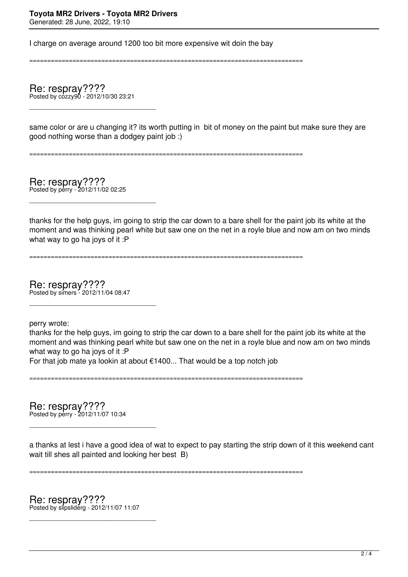I charge on average around 1200 too bit more expensive wit doin the bay

============================================================================

Re: respray???? Posted by cozzy90 - 2012/10/30 23:21

\_\_\_\_\_\_\_\_\_\_\_\_\_\_\_\_\_\_\_\_\_\_\_\_\_\_\_\_\_\_\_\_\_\_\_\_\_

same color or are u changing it? its worth putting in bit of money on the paint but make sure they are good nothing worse than a dodgey paint job :)

============================================================================

Re: respray???? Posted by perry - 2012/11/02 02:25

\_\_\_\_\_\_\_\_\_\_\_\_\_\_\_\_\_\_\_\_\_\_\_\_\_\_\_\_\_\_\_\_\_\_\_\_\_

thanks for the help guys, im going to strip the car down to a bare shell for the paint job its white at the moment and was thinking pearl white but saw one on the net in a royle blue and now am on two minds what way to go ha joys of it :P

============================================================================

Re: respray???? Posted by simers - 2012/11/04 08:47

\_\_\_\_\_\_\_\_\_\_\_\_\_\_\_\_\_\_\_\_\_\_\_\_\_\_\_\_\_\_\_\_\_\_\_\_\_

perry wrote:

thanks for the help guys, im going to strip the car down to a bare shell for the paint job its white at the moment and was thinking pearl white but saw one on the net in a royle blue and now am on two minds what way to go ha joys of it :P

For that job mate ya lookin at about €1400... That would be a top notch job

============================================================================

Re: respray???? Posted by perry - 2012/11/07 10:34

\_\_\_\_\_\_\_\_\_\_\_\_\_\_\_\_\_\_\_\_\_\_\_\_\_\_\_\_\_\_\_\_\_\_\_\_\_

a thanks at lest i have a good idea of wat to expect to pay starting the strip down of it this weekend cant wait till shes all painted and looking her best B)

============================================================================

Re: respray???? Posted by slipsliderg - 2012/11/07 11:07

\_\_\_\_\_\_\_\_\_\_\_\_\_\_\_\_\_\_\_\_\_\_\_\_\_\_\_\_\_\_\_\_\_\_\_\_\_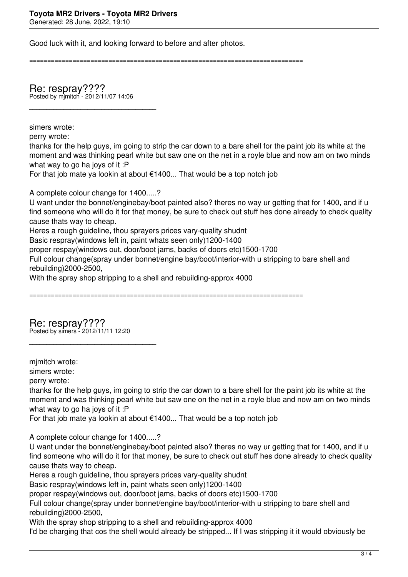Good luck with it, and looking forward to before and after photos.

============================================================================

Re: respray???? Posted by mjmitch - 2012/11/07 14:06

simers wrote:

\_\_\_\_\_\_\_\_\_\_\_\_\_\_\_\_\_\_\_\_\_\_\_\_\_\_\_\_\_\_\_\_\_\_\_\_\_

perry wrote: thanks for the help guys, im going to strip the car down to a bare shell for the paint job its white at the moment and was thinking pearl white but saw one on the net in a royle blue and now am on two minds what way to go ha joys of it :P

For that job mate ya lookin at about €1400... That would be a top notch job

A complete colour change for 1400.....?

U want under the bonnet/enginebay/boot painted also? theres no way ur getting that for 1400, and if u find someone who will do it for that money, be sure to check out stuff hes done already to check quality cause thats way to cheap.

Heres a rough guideline, thou sprayers prices vary-quality shudnt

Basic respray(windows left in, paint whats seen only)1200-1400

proper respay(windows out, door/boot jams, backs of doors etc)1500-1700

Full colour change(spray under bonnet/engine bay/boot/interior-with u stripping to bare shell and rebuilding)2000-2500,

With the spray shop stripping to a shell and rebuilding-approx 4000

============================================================================

Re: respray???? Posted by simers - 2012/11/11 12:20

\_\_\_\_\_\_\_\_\_\_\_\_\_\_\_\_\_\_\_\_\_\_\_\_\_\_\_\_\_\_\_\_\_\_\_\_\_

mimitch wrote:

simers wrote:

perry wrote:

thanks for the help guys, im going to strip the car down to a bare shell for the paint job its white at the moment and was thinking pearl white but saw one on the net in a royle blue and now am on two minds what way to go ha joys of it :P

For that job mate ya lookin at about €1400... That would be a top notch job

A complete colour change for 1400.....?

U want under the bonnet/enginebay/boot painted also? theres no way ur getting that for 1400, and if u find someone who will do it for that money, be sure to check out stuff hes done already to check quality cause thats way to cheap.

Heres a rough guideline, thou sprayers prices vary-quality shudnt

Basic respray(windows left in, paint whats seen only)1200-1400

proper respay(windows out, door/boot jams, backs of doors etc)1500-1700

Full colour change(spray under bonnet/engine bay/boot/interior-with u stripping to bare shell and rebuilding)2000-2500,

With the spray shop stripping to a shell and rebuilding-approx 4000

I'd be charging that cos the shell would already be stripped... If I was stripping it it would obviously be